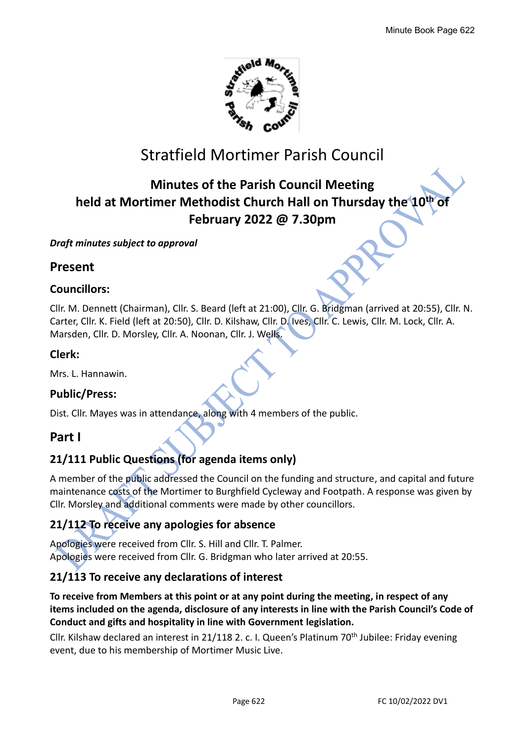

# Stratfield Mortimer Parish Council

# **Minutes of the Parish Council Meeting held at Mortimer Methodist Church Hall on Thursday the 10 th of February 2022 @ 7.30pm**

#### *Draft minutes subject to approval*

# **Present**

# **Councillors:**

Cllr. M. Dennett (Chairman), Cllr. S. Beard (left at 21:00), Cllr. G. Bridgman (arrived at 20:55), Cllr. N. Carter, Cllr. K. Field (left at 20:50), Cllr. D. Kilshaw, Cllr. D. Ives, Cllr. C. Lewis, Cllr. M. Lock, Cllr. A. Marsden, Cllr. D. Morsley, Cllr. A. Noonan, Cllr. J. Wells.

# **Clerk:**

Mrs. L. Hannawin.

# **Public/Press:**

Dist. Cllr. Mayes was in attendance, along with 4 members of the public.

# **Part I**

# **21/111 Public Questions (for agenda items only)**

A member of the public addressed the Council on the funding and structure, and capital and future maintenance costs of the Mortimer to Burghfield Cycleway and Footpath. A response was given by Cllr. Morsley and additional comments were made by other councillors.

# **21/112 To receive any apologies for absence**

Apologies were received from Cllr. S. Hill and Cllr. T. Palmer. Apologies were received from Cllr. G. Bridgman who later arrived at 20:55.

# **21/113 To receive any declarations of interest**

### **To receive from Members at this point or at any point during the meeting, in respect of any items included on the agenda, disclosure of any interests in line with the Parish Council's Code of Conduct and gifts and hospitality in line with Government legislation.**

Cllr. Kilshaw declared an interest in 21/118 2. c. I. Queen's Platinum 70<sup>th</sup> Jubilee: Friday evening event, due to his membership of Mortimer Music Live.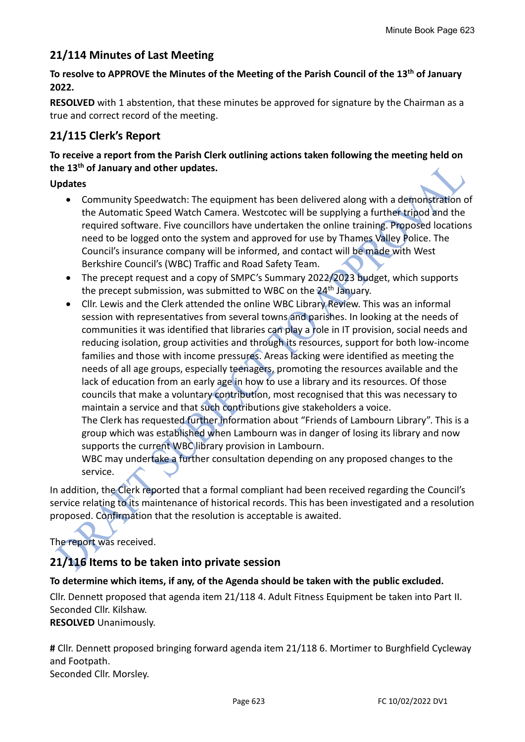# **21/114 Minutes of Last Meeting**

### **To resolve to APPROVE the Minutes of the Meeting of the Parish Council of the 13th of January 2022.**

**RESOLVED** with 1 abstention, that these minutes be approved for signature by the Chairman as a true and correct record of the meeting.

# **21/115 Clerk's Report**

**To receive a report from the Parish Clerk outlining actions taken following the meeting held on the 13th of January and other updates.**

#### **Updates**

- Community Speedwatch: The equipment has been delivered along with a demonstration of the Automatic Speed Watch Camera. Westcotec will be supplying a further tripod and the required software. Five councillors have undertaken the online training. Proposed locations need to be logged onto the system and approved for use by Thames Valley Police. The Council's insurance company will be informed, and contact will be made with West Berkshire Council's (WBC) Traffic and Road Safety Team.
- The precept request and a copy of SMPC's Summary 2022/2023 budget, which supports the precept submission, was submitted to WBC on the 24<sup>th</sup> January.
- Cllr. Lewis and the Clerk attended the online WBC Library Review. This was an informal session with representatives from several towns and parishes. In looking at the needs of communities it was identified that libraries can play a role in IT provision, social needs and reducing isolation, group activities and through its resources, support for both low-income families and those with income pressures. Areas lacking were identified as meeting the needs of all age groups, especially teenagers, promoting the resources available and the lack of education from an early age in how to use a library and its resources. Of those councils that make a voluntary contribution, most recognised that this was necessary to maintain a service and that such contributions give stakeholders a voice. The Clerk has requested further information about "Friends of Lambourn Library". This is a group which was established when Lambourn was in danger of losing its library and now supports the current WBC library provision in Lambourn.

WBC may undertake a further consultation depending on any proposed changes to the service.

In addition, the Clerk reported that a formal compliant had been received regarding the Council's service relating to its maintenance of historical records. This has been investigated and a resolution proposed. Confirmation that the resolution is acceptable is awaited.

# The report was received.

# **21/116 Items to be taken into private session**

#### **To determine which items, if any, of the Agenda should be taken with the public excluded.**

Cllr. Dennett proposed that agenda item 21/118 4. Adult Fitness Equipment be taken into Part II. Seconded Cllr. Kilshaw.

**RESOLVED** Unanimously.

**#** Cllr. Dennett proposed bringing forward agenda item 21/118 6. Mortimer to Burghfield Cycleway and Footpath.

Seconded Cllr. Morsley.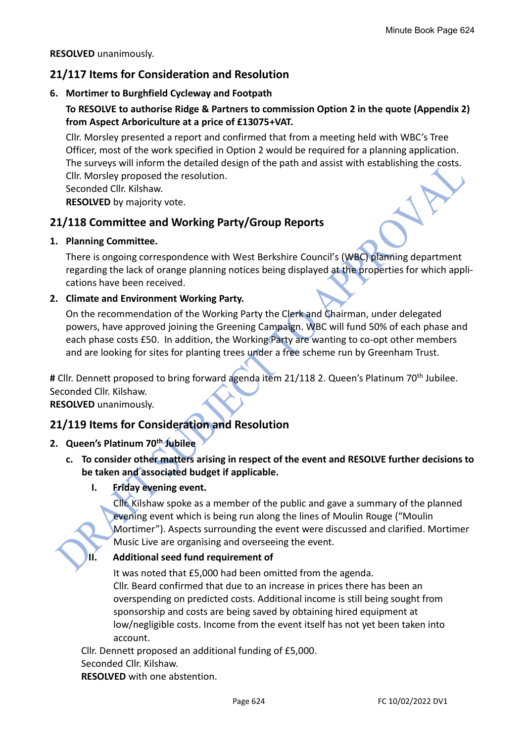#### **RESOLVED** unanimously.

# **21/117 Items for Consideration and Resolution**

#### **6. Mortimer to Burghfield Cycleway and Footpath**

# **To RESOLVE to authorise Ridge & Partners to commission Option 2 in the quote (Appendix 2) from Aspect Arboriculture at a price of £13075+VAT.**

Cllr. Morsley presented a report and confirmed that from a meeting held with WBC's Tree Officer, most of the work specified in Option 2 would be required for a planning application. The surveys will inform the detailed design of the path and assist with establishing the costs. Cllr. Morsley proposed the resolution.

Seconded Cllr. Kilshaw.

**RESOLVED** by majority vote.

# **21/118 Committee and Working Party/Group Reports**

#### **1. Planning Committee.**

There is ongoing correspondence with West Berkshire Council's (WBC) planning department regarding the lack of orange planning notices being displayed at the properties for which applications have been received.

#### **2. Climate and Environment Working Party.**

On the recommendation of the Working Party the Clerk and Chairman, under delegated powers, have approved joining the Greening Campaign. WBC will fund 50% of each phase and each phase costs £50. In addition, the Working Party are wanting to co-opt other members and are looking for sites for planting trees under a free scheme run by Greenham Trust.

# Cllr. Dennett proposed to bring forward agenda item 21/118 2. Queen's Platinum 70<sup>th</sup> Jubilee. Seconded Cllr. Kilshaw.

**RESOLVED** unanimously.

# **21/119 Items for Consideration and Resolution**

#### **2. Queen's Platinum 70th Jubilee**

- **c. To consider other matters arising in respect of the event and RESOLVE further decisions to be taken and associated budget if applicable.**
	- **I. Friday evening event.**

Cllr. Kilshaw spoke as a member of the public and gave a summary of the planned evening event which is being run along the lines of Moulin Rouge ("Moulin Mortimer"). Aspects surrounding the event were discussed and clarified. Mortimer Music Live are organising and overseeing the event.

#### **II. Additional seed fund requirement of**

It was noted that £5,000 had been omitted from the agenda. Cllr. Beard confirmed that due to an increase in prices there has been an overspending on predicted costs. Additional income is still being sought from sponsorship and costs are being saved by obtaining hired equipment at low/negligible costs. Income from the event itself has not yet been taken into account.

Cllr. Dennett proposed an additional funding of £5,000. Seconded Cllr. Kilshaw.

**RESOLVED** with one abstention.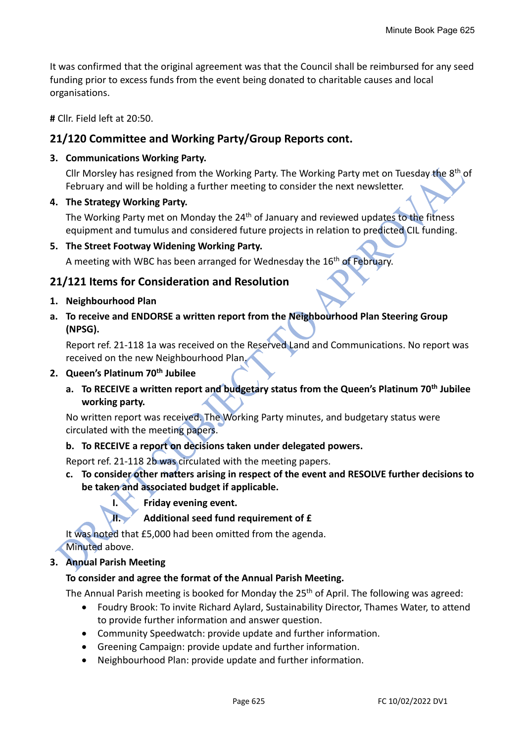It was confirmed that the original agreement was that the Council shall be reimbursed for any seed funding prior to excess funds from the event being donated to charitable causes and local organisations.

**#** Cllr. Field left at 20:50.

# **21/120 Committee and Working Party/Group Reports cont.**

#### **3. Communications Working Party.**

Cllr Morsley has resigned from the Working Party. The Working Party met on Tuesday the 8<sup>th</sup> of February and will be holding a further meeting to consider the next newsletter.

**4. The Strategy Working Party.**

The Working Party met on Monday the 24<sup>th</sup> of January and reviewed updates to the fitness equipment and tumulus and considered future projects in relation to predicted CIL funding.

**5. The Street Footway Widening Working Party.**

A meeting with WBC has been arranged for Wednesday the  $16<sup>th</sup>$  of February.

# **21/121 Items for Consideration and Resolution**

- **1. Neighbourhood Plan**
- **a. To receive and ENDORSE a written report from the Neighbourhood Plan Steering Group (NPSG).**

Report ref. 21-118 1a was received on the Reserved Land and Communications. No report was received on the new Neighbourhood Plan.

#### **2. Queen's Platinum 70th Jubilee**

**a. To RECEIVE a written report and budgetary status from the Queen's Platinum 70th Jubilee working party.**

No written report was received. The Working Party minutes, and budgetary status were circulated with the meeting papers.

- **b. To RECEIVE a report on decisions taken under delegated powers.**
- Report ref. 21-118 2b was circulated with the meeting papers.
- **c. To consider other matters arising in respect of the event and RESOLVE further decisions to be taken and associated budget if applicable.**
	- **I. Friday evening event.**

**II. Additional seed fund requirement of £**

It was noted that £5,000 had been omitted from the agenda.

Minuted above.

#### **3. Annual Parish Meeting**

#### **To consider and agree the format of the Annual Parish Meeting.**

The Annual Parish meeting is booked for Monday the 25<sup>th</sup> of April. The following was agreed:

- Foudry Brook: To invite Richard Aylard, Sustainability Director, Thames Water, to attend to provide further information and answer question.
- Community Speedwatch: provide update and further information.
- Greening Campaign: provide update and further information.
- Neighbourhood Plan: provide update and further information.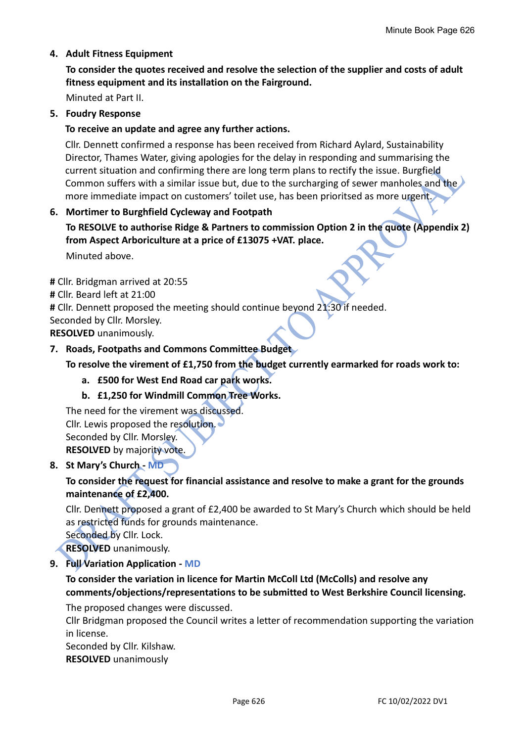#### **4. Adult Fitness Equipment**

**To consider the quotes received and resolve the selection of the supplier and costs of adult fitness equipment and its installation on the Fairground.**

Minuted at Part II.

#### **5. Foudry Response**

#### **To receive an update and agree any further actions.**

Cllr. Dennett confirmed a response has been received from Richard Aylard, Sustainability Director, Thames Water, giving apologies for the delay in responding and summarising the current situation and confirming there are long term plans to rectify the issue. Burgfield Common suffers with a similar issue but, due to the surcharging of sewer manholes and the more immediate impact on customers' toilet use, has been prioritsed as more urgent.

#### **6. Mortimer to Burghfield Cycleway and Footpath**

**To RESOLVE to authorise Ridge & Partners to commission Option 2 in the quote (Appendix 2) from Aspect Arboriculture at a price of £13075 +VAT. place.**

Minuted above.

**#** Cllr. Bridgman arrived at 20:55

**#** Cllr. Beard left at 21:00

**#** Cllr. Dennett proposed the meeting should continue beyond 21:30 if needed.

Seconded by Cllr. Morsley.

**RESOLVED** unanimously.

#### **7. Roads, Footpaths and Commons Committee Budget**

#### **To resolve the virement of £1,750 from the budget currently earmarked for roads work to:**

**a. £500 for West End Road car park works.**

**b. £1,250 for Windmill Common Tree Works.**

The need for the virement was discussed. Cllr. Lewis proposed the resolution. Seconded by Cllr. Morsley. **RESOLVED** by majority vote.

#### **8. St Mary's Church - MD**

### **To consider the request for financial assistance and resolve to make a grant for the grounds maintenance of £2,400.**

Cllr. Dennett proposed a grant of £2,400 be awarded to St Mary's Church which should be held as restricted funds for grounds maintenance.

Seconded by Cllr. Lock.

**RESOLVED** unanimously.

#### **9. Full Variation Application - MD**

#### **To consider the variation in licence for Martin McColl Ltd (McColls) and resolve any comments/objections/representations to be submitted to West Berkshire Council licensing.**

The proposed changes were discussed.

Cllr Bridgman proposed the Council writes a letter of recommendation supporting the variation in license.

Seconded by Cllr. Kilshaw.

**RESOLVED** unanimously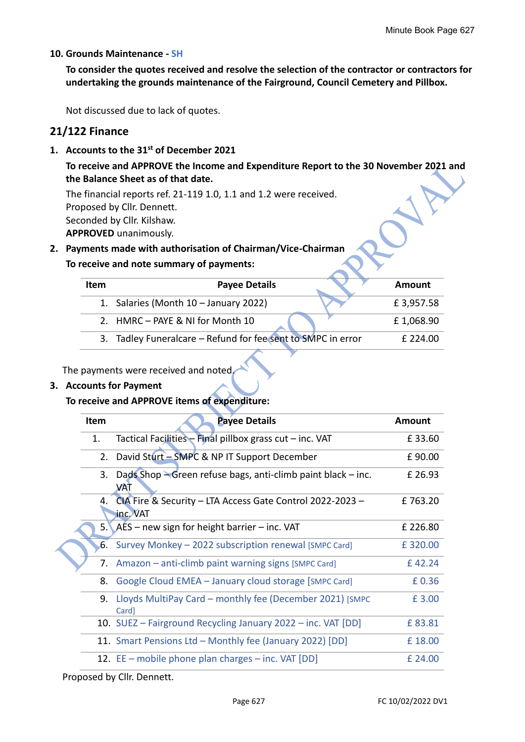#### **10. Grounds Maintenance - SH**

**To consider the quotes received and resolve the selection of the contractor or contractors for undertaking the grounds maintenance of the Fairground, Council Cemetery and Pillbox.**

Not discussed due to lack of quotes.

### **21/122 Finance**

**1. Accounts to the 31st of December 2021**

**To receive and APPROVE the Income and Expenditure Report to the 30 November 2021 and the Balance Sheet as of that date.** 

The financial reports ref. 21-119 1.0, 1.1 and 1.2 were received. Proposed by Cllr. Dennett. Seconded by Cllr. Kilshaw. **APPROVED** unanimously.

#### **2. Payments made with authorisation of Chairman/Vice-Chairman**

#### **To receive and note summary of payments:**

| Item | <b>Payee Details</b>                                         | Amount    |
|------|--------------------------------------------------------------|-----------|
|      | 1. Salaries (Month 10 - January 2022)                        | £3,957.58 |
|      | 2. HMRC - PAYE & NI for Month 10                             | £1,068.90 |
|      | 3. Tadley Funeralcare - Refund for fee sent to SMPC in error | £ 224.00  |

The payments were received and noted.

#### **3. Accounts for Payment**

#### **To receive and APPROVE items of expenditure:**

| Item | <b>Payee Details</b>                                                  | <b>Amount</b> |
|------|-----------------------------------------------------------------------|---------------|
| 1.   | Tactical Facilities - Final pillbox grass cut - inc. VAT              | £33.60        |
|      | 2. David Sturt - SMPC & NP IT Support December                        | £90.00        |
| 3.   | Dads Shop - Green refuse bags, anti-climb paint black - inc.<br>VAT   | £ 26.93       |
| 4.   | CIA Fire & Security - LTA Access Gate Control 2022-2023 -<br>inc. VAT | £763.20       |
|      | 5. $AES$ – new sign for height barrier – inc. VAT                     | £226.80       |
|      | 6. Survey Monkey - 2022 subscription renewal [SMPC Card]              | £320.00       |
|      | 7. Amazon – anti-climb paint warning signs [SMPC Card]                | £42.24        |
| 8.   | Google Cloud EMEA - January cloud storage [SMPC Card]                 | £0.36         |
| 9.   | Lloyds MultiPay Card – monthly fee (December 2021) [SMPC]<br>Card]    | £3.00         |
|      | 10. SUEZ – Fairground Recycling January 2022 – inc. VAT [DD]          | £83.81        |
|      | 11. Smart Pensions Ltd - Monthly fee (January 2022) [DD]              | £18.00        |
|      | 12. EE – mobile phone plan charges – inc. VAT [DD]                    | £ 24.00       |

Proposed by Cllr. Dennett.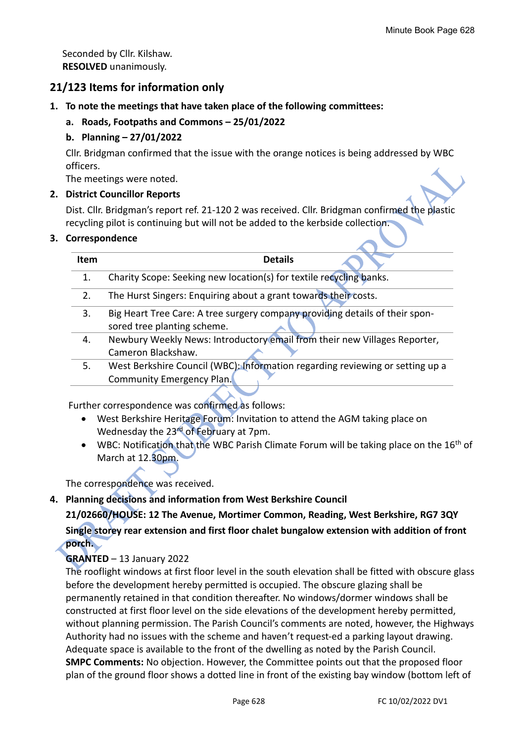Seconded by Cllr. Kilshaw. **RESOLVED** unanimously.

# **21/123 Items for information only**

- **1. To note the meetings that have taken place of the following committees:**
	- **a. Roads, Footpaths and Commons – 25/01/2022**

### **b. Planning – 27/01/2022**

Cllr. Bridgman confirmed that the issue with the orange notices is being addressed by WBC officers.

The meetings were noted.

#### **2. District Councillor Reports**

Dist. Cllr. Bridgman's report ref. 21-120 2 was received. Cllr. Bridgman confirmed the plastic recycling pilot is continuing but will not be added to the kerbside collection.

#### **3. Correspondence**

| <b>Item</b> | <b>Details</b>                                                                                              |
|-------------|-------------------------------------------------------------------------------------------------------------|
| 1.          | Charity Scope: Seeking new location(s) for textile recycling banks.                                         |
| 2.          | The Hurst Singers: Enquiring about a grant towards their costs.                                             |
| 3.          | Big Heart Tree Care: A tree surgery company providing details of their spon-<br>sored tree planting scheme. |
| 4.          | Newbury Weekly News: Introductory email from their new Villages Reporter,<br>Cameron Blackshaw.             |
| 5.          | West Berkshire Council (WBC): Information regarding reviewing or setting up a<br>Community Emergency Plan.  |
|             |                                                                                                             |

Further correspondence was confirmed as follows:

- West Berkshire Heritage Forum: Invitation to attend the AGM taking place on Wednesday the 23<sup>rd</sup> of February at 7pm.
- WBC: Notification that the WBC Parish Climate Forum will be taking place on the 16<sup>th</sup> of March at 12.30pm.

The correspondence was received.

#### **4. Planning decisions and information from West Berkshire Council**

**21/02660/HOUSE: 12 The Avenue, Mortimer Common, Reading, West Berkshire, RG7 3QY Single storey rear extension and first floor chalet bungalow extension with addition of front porch.**

#### **GRANTED** – 13 January 2022

The rooflight windows at first floor level in the south elevation shall be fitted with obscure glass before the development hereby permitted is occupied. The obscure glazing shall be permanently retained in that condition thereafter. No windows/dormer windows shall be constructed at first floor level on the side elevations of the development hereby permitted, without planning permission. The Parish Council's comments are noted, however, the Highways Authority had no issues with the scheme and haven't request-ed a parking layout drawing. Adequate space is available to the front of the dwelling as noted by the Parish Council. **SMPC Comments:** No objection. However, the Committee points out that the proposed floor plan of the ground floor shows a dotted line in front of the existing bay window (bottom left of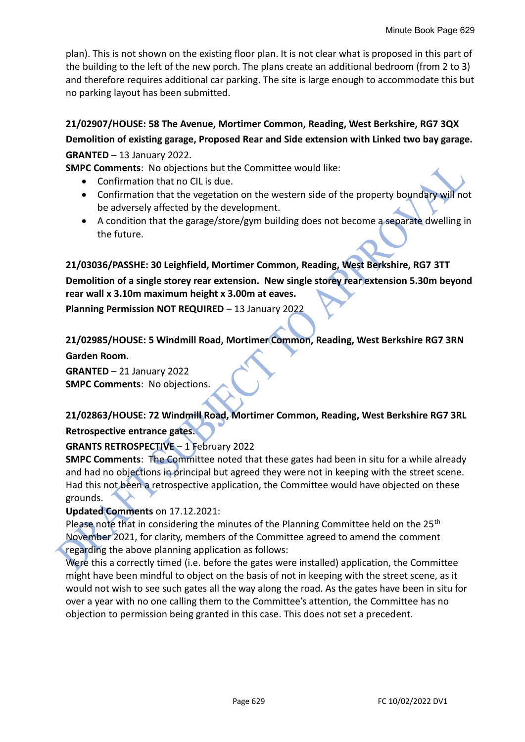plan). This is not shown on the existing floor plan. It is not clear what is proposed in this part of the building to the left of the new porch. The plans create an additional bedroom (from 2 to 3) and therefore requires additional car parking. The site is large enough to accommodate this but no parking layout has been submitted.

# **21/02907/HOUSE: 58 The Avenue, Mortimer Common, Reading, West Berkshire, RG7 3QX Demolition of existing garage, Proposed Rear and Side extension with Linked two bay garage. GRANTED** – 13 January 2022.

**SMPC Comments**: No objections but the Committee would like:

- Confirmation that no CIL is due.
- Confirmation that the vegetation on the western side of the property boundary will not be adversely affected by the development.
- A condition that the garage/store/gym building does not become a separate dwelling in the future.

**21/03036/PASSHE: 30 Leighfield, Mortimer Common, Reading, West Berkshire, RG7 3TT Demolition of a single storey rear extension. New single storey rear extension 5.30m beyond rear wall x 3.10m maximum height x 3.00m at eaves.**

**Planning Permission NOT REQUIRED** – 13 January 2022

# **21/02985/HOUSE: 5 Windmill Road, Mortimer Common, Reading, West Berkshire RG7 3RN**

**Garden Room.**

**GRANTED** – 21 January 2022 **SMPC Comments**: No objections.

# **21/02863/HOUSE: 72 Windmill Road, Mortimer Common, Reading, West Berkshire RG7 3RL Retrospective entrance gates.**

# **GRANTS RETROSPECTIVE** – 1 February 2022

**SMPC Comments**: The Committee noted that these gates had been in situ for a while already and had no objections in principal but agreed they were not in keeping with the street scene. Had this not been a retrospective application, the Committee would have objected on these grounds.

#### **Updated Comments** on 17.12.2021:

Please note that in considering the minutes of the Planning Committee held on the 25<sup>th</sup> November 2021, for clarity, members of the Committee agreed to amend the comment regarding the above planning application as follows:

Were this a correctly timed (i.e. before the gates were installed) application, the Committee might have been mindful to object on the basis of not in keeping with the street scene, as it would not wish to see such gates all the way along the road. As the gates have been in situ for over a year with no one calling them to the Committee's attention, the Committee has no objection to permission being granted in this case. This does not set a precedent.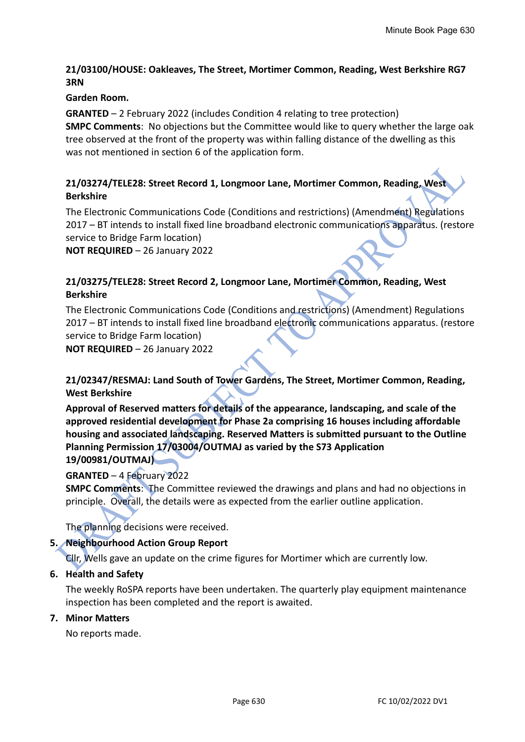#### **21/03100/HOUSE: Oakleaves, The Street, Mortimer Common, Reading, West Berkshire RG7 3RN**

#### **Garden Room.**

**GRANTED** – 2 February 2022 (includes Condition 4 relating to tree protection) **SMPC Comments**: No objections but the Committee would like to query whether the large oak tree observed at the front of the property was within falling distance of the dwelling as this was not mentioned in section 6 of the application form.

#### **21/03274/TELE28: Street Record 1, Longmoor Lane, Mortimer Common, Reading, West Berkshire**

The Electronic Communications Code (Conditions and restrictions) (Amendment) Regulations 2017 – BT intends to install fixed line broadband electronic communications apparatus. (restore service to Bridge Farm location)

**NOT REQUIRED** – 26 January 2022

#### **21/03275/TELE28: Street Record 2, Longmoor Lane, Mortimer Common, Reading, West Berkshire**

The Electronic Communications Code (Conditions and restrictions) (Amendment) Regulations 2017 – BT intends to install fixed line broadband electronic communications apparatus. (restore service to Bridge Farm location)

**NOT REQUIRED** – 26 January 2022

### **21/02347/RESMAJ: Land South of Tower Gardens, The Street, Mortimer Common, Reading, West Berkshire**

**Approval of Reserved matters for details of the appearance, landscaping, and scale of the approved residential development for Phase 2a comprising 16 houses including affordable housing and associated landscaping. Reserved Matters is submitted pursuant to the Outline Planning Permission 17/03004/OUTMAJ as varied by the S73 Application 19/00981/OUTMAJ)**

#### **GRANTED** – 4 February 2022

**SMPC Comments**: The Committee reviewed the drawings and plans and had no objections in principle. Overall, the details were as expected from the earlier outline application.

The planning decisions were received.

#### **5. Neighbourhood Action Group Report**

Cllr, Wells gave an update on the crime figures for Mortimer which are currently low.

#### **6. Health and Safety**

The weekly RoSPA reports have been undertaken. The quarterly play equipment maintenance inspection has been completed and the report is awaited.

#### **7. Minor Matters**

No reports made.